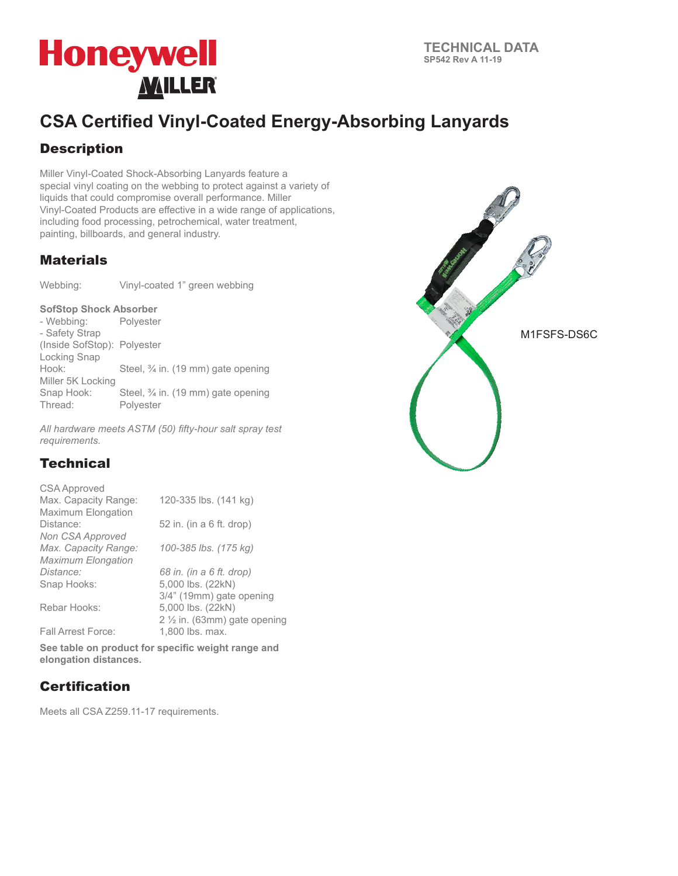

## **CSA Certified Vinyl-Coated Energy-Absorbing Lanyards**

### **Description**

Miller Vinyl-Coated Shock-Absorbing Lanyards feature a special vinyl coating on the webbing to protect against a variety of liquids that could compromise overall performance. Miller Vinyl-Coated Products are effective in a wide range of applications, including food processing, petrochemical, water treatment, painting, billboards, and general industry.

#### **Materials**

Webbing: Vinyl-coated 1" green webbing

# **SofStop Shock Absorber**<br>- Webbing: Polyester

- Webbing: - Safety Strap (Inside SofStop): Polyester Locking Snap<br>Hook: Steel, 3/4 in. (19 mm) gate opening Miller 5K Locking Snap Hook: Steel, ¾ in. (19 mm) gate opening<br>Thread: Polvester Polyester

*All hardware meets ASTM (50) fifty-hour salt spray test requirements.*

### **Technical**

| CSA Approved              |                                        |  |  |
|---------------------------|----------------------------------------|--|--|
| Max. Capacity Range:      | 120-335 lbs. (141 kg)                  |  |  |
| <b>Maximum Elongation</b> |                                        |  |  |
| Distance:                 | 52 in. (in a 6 ft. drop)               |  |  |
| Non CSA Approved          |                                        |  |  |
| Max. Capacity Range:      | 100-385 lbs. (175 kg)                  |  |  |
| <b>Maximum Elongation</b> |                                        |  |  |
| Distance:                 | 68 in. (in a 6 ft. drop)               |  |  |
| Snap Hooks:               | 5,000 lbs. (22kN)                      |  |  |
|                           | 3/4" (19mm) gate opening               |  |  |
| Rebar Hooks:              | 5,000 lbs. (22kN)                      |  |  |
|                           | $2\frac{1}{2}$ in. (63mm) gate opening |  |  |
| <b>Fall Arrest Force:</b> | 1,800 lbs. max.                        |  |  |

**See table on product for specific weight range and elongation distances.**

### **Certification**

Meets all CSA Z259.11-17 requirements.